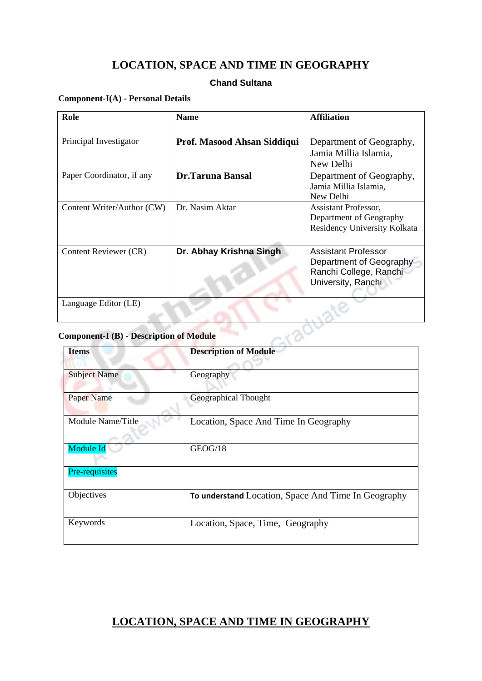# **LOCATION, SPACE AND TIME IN GEOGRAPHY**

# **Chand Sultana**

#### **Component-I(A) - Personal Details**

| Role                                           | <b>Name</b>                 | <b>Affiliation</b>           |  |  |
|------------------------------------------------|-----------------------------|------------------------------|--|--|
|                                                |                             |                              |  |  |
| Principal Investigator                         | Prof. Masood Ahsan Siddiqui | Department of Geography,     |  |  |
|                                                |                             | Jamia Millia Islamia,        |  |  |
|                                                |                             | New Delhi                    |  |  |
| Paper Coordinator, if any                      | <b>Dr.Taruna Bansal</b>     | Department of Geography,     |  |  |
|                                                |                             | Jamia Millia Islamia,        |  |  |
|                                                |                             | New Delhi                    |  |  |
| Content Writer/Author (CW)                     | Dr. Nasim Aktar             | Assistant Professor,         |  |  |
|                                                |                             | Department of Geography      |  |  |
|                                                |                             | Residency University Kolkata |  |  |
|                                                |                             |                              |  |  |
| Content Reviewer (CR)                          | Dr. Abhay Krishna Singh     | <b>Assistant Professor</b>   |  |  |
|                                                |                             | Department of Geography      |  |  |
|                                                |                             | Ranchi College, Ranchi       |  |  |
|                                                |                             | University, Ranchi           |  |  |
|                                                |                             |                              |  |  |
| Language Editor (LE)                           |                             |                              |  |  |
|                                                |                             |                              |  |  |
|                                                |                             |                              |  |  |
| <b>Component-I (B) - Description of Module</b> |                             |                              |  |  |

# **Component-I (B) - Description of Module**

| <b>Items</b>        | <b>Description of Module</b>                        |  |
|---------------------|-----------------------------------------------------|--|
|                     |                                                     |  |
| <b>Subject Name</b> | Geography                                           |  |
|                     |                                                     |  |
| <b>Paper Name</b>   | <b>Geographical Thought</b>                         |  |
|                     |                                                     |  |
| Module Name/Title   | Location, Space And Time In Geography               |  |
|                     |                                                     |  |
| Module Id           | GEOG/18                                             |  |
|                     |                                                     |  |
| Pre-requisites      |                                                     |  |
|                     |                                                     |  |
| Objectives          | To understand Location, Space And Time In Geography |  |
|                     |                                                     |  |
| Keywords            | Location, Space, Time, Geography                    |  |
|                     |                                                     |  |
|                     |                                                     |  |

# **LOCATION, SPACE AND TIME IN GEOGRAPHY**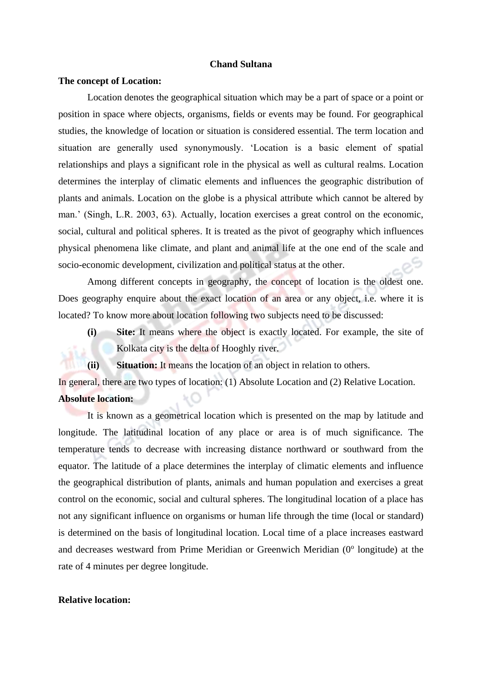#### **Chand Sultana**

#### **The concept of Location:**

Location denotes the geographical situation which may be a part of space or a point or position in space where objects, organisms, fields or events may be found. For geographical studies, the knowledge of location or situation is considered essential. The term location and situation are generally used synonymously. 'Location is a basic element of spatial relationships and plays a significant role in the physical as well as cultural realms. Location determines the interplay of climatic elements and influences the geographic distribution of plants and animals. Location on the globe is a physical attribute which cannot be altered by man.' (Singh, L.R. 2003, 63). Actually, location exercises a great control on the economic, social, cultural and political spheres. It is treated as the pivot of geography which influences physical phenomena like climate, and plant and animal life at the one end of the scale and socio-economic development, civilization and political status at the other.

Among different concepts in geography, the concept of location is the oldest one. Does geography enquire about the exact location of an area or any object, i.e. where it is located? To know more about location following two subjects need to be discussed:

**(i) Site:** It means where the object is exactly located. For example, the site of Kolkata city is the delta of Hooghly river.

**(ii) Situation:** It means the location of an object in relation to others.

In general, there are two types of location: (1) Absolute Location and (2) Relative Location. **Absolute location:** 

It is known as a geometrical location which is presented on the map by latitude and longitude. The latitudinal location of any place or area is of much significance. The temperature tends to decrease with increasing distance northward or southward from the equator. The latitude of a place determines the interplay of climatic elements and influence the geographical distribution of plants, animals and human population and exercises a great control on the economic, social and cultural spheres. The longitudinal location of a place has not any significant influence on organisms or human life through the time (local or standard) is determined on the basis of longitudinal location. Local time of a place increases eastward and decreases westward from Prime Meridian or Greenwich Meridian (0° longitude) at the rate of 4 minutes per degree longitude.

### **Relative location:**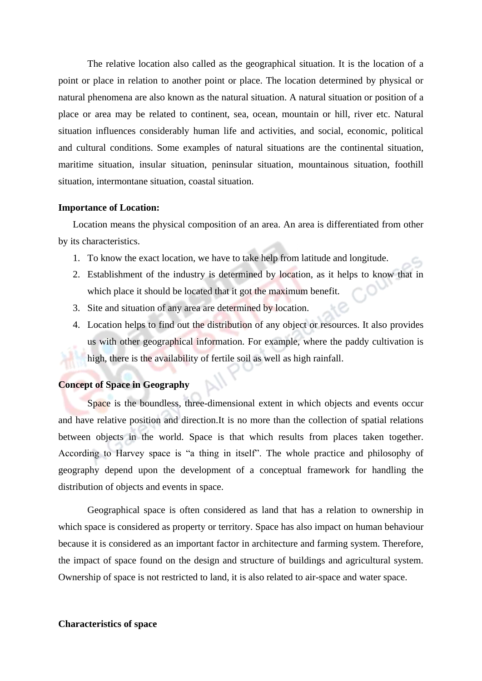The relative location also called as the geographical situation. It is the location of a point or place in relation to another point or place. The location determined by physical or natural phenomena are also known as the natural situation. A natural situation or position of a place or area may be related to continent, sea, ocean, mountain or hill, river etc. Natural situation influences considerably human life and activities, and social, economic, political and cultural conditions. Some examples of natural situations are the continental situation, maritime situation, insular situation, peninsular situation, mountainous situation, foothill situation, intermontane situation, coastal situation.

#### **Importance of Location:**

Location means the physical composition of an area. An area is differentiated from other by its characteristics.

- 1. To know the exact location, we have to take help from latitude and longitude.
- 2. Establishment of the industry is determined by location, as it helps to know that in which place it should be located that it got the maximum benefit.
- 3. Site and situation of any area are determined by location.
- 4. Location helps to find out the distribution of any object or resources. It also provides us with other geographical information. For example, where the paddy cultivation is high, there is the availability of fertile soil as well as high rainfall.

# **Concept of Space in Geography**

Space is the boundless, three-dimensional extent in which objects and events occur and have relative position and direction.It is no more than the collection of spatial relations between objects in the world. Space is that which results from places taken together. According to Harvey space is "a thing in itself". The whole practice and philosophy of geography depend upon the development of a conceptual framework for handling the distribution of objects and events in space.

Geographical space is often considered as land that has a relation to ownership in which space is considered as property or territory. Space has also impact on human behaviour because it is considered as an important factor in architecture and farming system. Therefore, the impact of space found on the design and structure of buildings and agricultural system. Ownership of space is not restricted to land, it is also related to air-space and water space.

#### **Characteristics of space**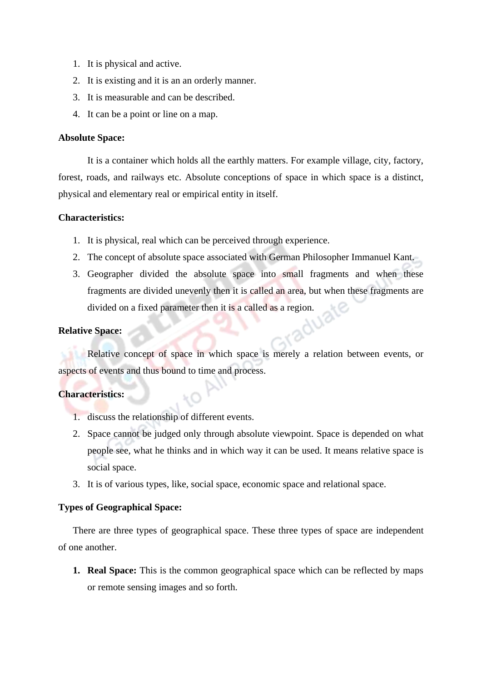- 1. It is physical and active.
- 2. It is existing and it is an an orderly manner.
- 3. It is measurable and can be described.
- 4. It can be a point or line on a map.

# **Absolute Space:**

It is a container which holds all the earthly matters. For example village, city, factory, forest, roads, and railways etc. Absolute conceptions of space in which space is a distinct, physical and elementary real or empirical entity in itself.

## **Characteristics:**

- 1. It is physical, real which can be perceived through experience.
- 2. The concept of absolute space associated with German Philosopher Immanuel Kant.
- 3. Geographer divided the absolute space into small fragments and when these fragments are divided unevenly then it is called an area, but when these fragments are divided on a fixed parameter then it is a called as a region.

## **Relative Space:**

Relative concept of space in which space is merely a relation between events, or aspects of events and thus bound to time and process.

## **Characteristics:**

- 1. discuss the relationship of different events.
- 2. Space cannot be judged only through absolute viewpoint. Space is depended on what people see, what he thinks and in which way it can be used. It means relative space is social space.
- 3. It is of various types, like, social space, economic space and relational space.

# **Types of Geographical Space:**

There are three types of geographical space. These three types of space are independent of one another.

**1. Real Space:** This is the common geographical space which can be reflected by maps or remote sensing images and so forth.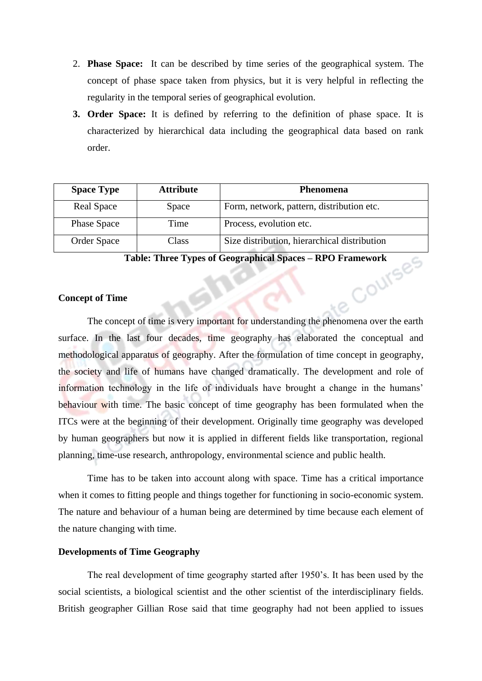- 2. **Phase Space:** It can be described by time series of the geographical system. The concept of phase space taken from physics, but it is very helpful in reflecting the regularity in the temporal series of geographical evolution.
- **3. Order Space:** It is defined by referring to the definition of phase space. It is characterized by hierarchical data including the geographical data based on rank order.

| <b>Space Type</b>  | <b>Attribute</b> | <b>Phenomena</b>                             |
|--------------------|------------------|----------------------------------------------|
| <b>Real Space</b>  | Space            | Form, network, pattern, distribution etc.    |
| <b>Phase Space</b> | Time             | Process, evolution etc.                      |
| <b>Order Space</b> | Class            | Size distribution, hierarchical distribution |

**Table: Three Types of Geographical Spaces – RPO Framework**

#### **Concept of Time**

The concept of time is very important for understanding the phenomena over the earth surface. In the last four decades, time geography has elaborated the conceptual and methodological apparatus of geography. After the formulation of time concept in geography, the society and life of humans have changed dramatically. The development and role of information technology in the life of individuals have brought a change in the humans' behaviour with time. The basic concept of time geography has been formulated when the ITCs were at the beginning of their development. Originally time geography was developed by human geographers but now it is applied in different fields like transportation, regional planning, time-use research, anthropology, environmental science and public health.

Time has to be taken into account along with space. Time has a critical importance when it comes to fitting people and things together for functioning in socio-economic system. The nature and behaviour of a human being are determined by time because each element of the nature changing with time.

#### **Developments of Time Geography**

The real development of time geography started after 1950's. It has been used by the social scientists, a biological scientist and the other scientist of the interdisciplinary fields. British geographer Gillian Rose said that time geography had not been applied to issues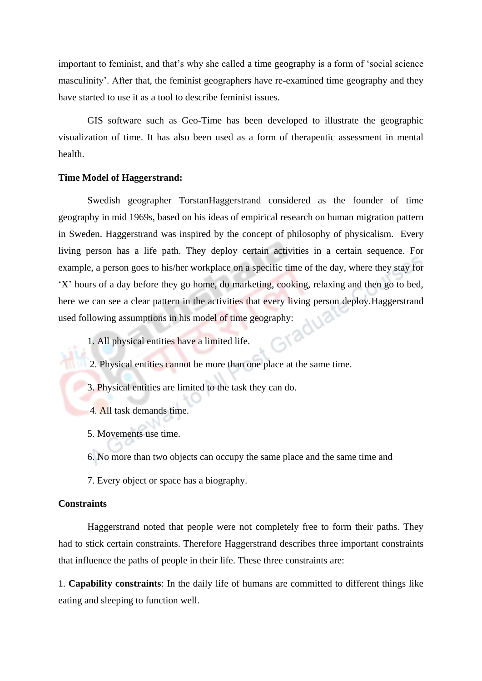important to feminist, and that's why she called a time geography is a form of 'social science masculinity'. After that, the feminist geographers have re-examined time geography and they have started to use it as a tool to describe feminist issues.

GIS software such as Geo-Time has been developed to illustrate the geographic visualization of time. It has also been used as a form of therapeutic assessment in mental health.

#### **Time Model of Haggerstrand:**

Swedish geographer TorstanHaggerstrand considered as the founder of time geography in mid 1969s, based on his ideas of empirical research on human migration pattern in Sweden. Haggerstrand was inspired by the concept of philosophy of physicalism. Every living person has a life path. They deploy certain activities in a certain sequence. For example, a person goes to his/her workplace on a specific time of the day, where they stay for 'X' hours of a day before they go home, do marketing, cooking, relaxing and then go to bed, here we can see a clear pattern in the activities that every living person deploy.Haggerstrand used following assumptions in his model of time geography:

1. All physical entities have a limited life.

- 2. Physical entities cannot be more than one place at the same time.
- 3. Physical entities are limited to the task they can do.
- 4. All task demands time.
- 5. Movements use time.
- 6. No more than two objects can occupy the same place and the same time and
- 7. Every object or space has a biography.

#### **Constraints**

Haggerstrand noted that people were not completely free to form their paths. They had to stick certain constraints. Therefore Haggerstrand describes three important constraints that influence the paths of people in their life. These three constraints are:

1. **Capability constraints**: In the daily life of humans are committed to different things like eating and sleeping to function well.